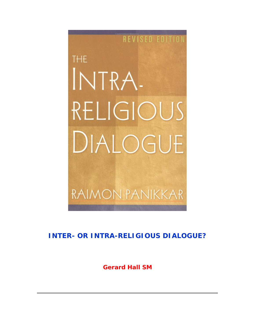

**INTER- OR** *INTRA-***RELIGIOUS DIALOGUE?**

**Gerard Hall SM**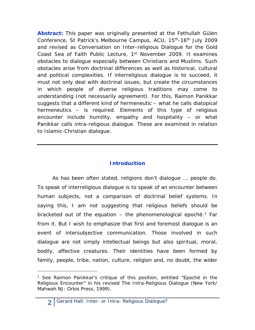*Abstract:* This paper was originally presented at the *Fethullah Gülen Conference*, St Patrick's Melbourne Campus, ACU, 15th-16th July 2009 and revised as *Conversation on Inter-religious Dialogue* for the *Gold Coast Sea of Faith* Public Lecture, 1st November 2009. It examines obstacles to dialogue especially between Christians and Muslims. Such obstacles arise from doctrinal differences as well as historical, cultural and political complexities. If *interreligious dialogue* is to succeed, it must not only deal with doctrinal issues, but create the circumstances in which people of diverse religious traditions may come to understanding (not necessarily agreement). For this, Raimon Panikkar suggests that a different kind of hermeneutic – what he calls *diatopical hermeneutics* – is required. Elements of this type of religious encounter include humility, empathy and hospitality – or what Panikkar calls *intra-religious dialogue*. These are examined in relation to Islamic-Christian dialogue.

### **Introduction**

As has been often stated, religions don't dialogue ... people do. To speak of interreligious dialogue is to speak of an encounter between human subjects, not a comparison of doctrinal belief systems. In saying this, I am not suggesting that religious beliefs should be bracketed out of the equation  $-$  the phenomenological epoché.<sup>[1](#page-1-0)</sup> Far from it. But I wish to emphasize that first and foremost dialogue is an event of intersubjective communication. Those involved in such dialogue are not simply intellectual beings but also spiritual, moral, bodily, affective creatures. Their identities have been formed by family, people, tribe, nation, culture, religion and, no doubt, the wider

<span id="page-1-0"></span><sup>&</sup>lt;sup>1</sup> See Raimon Panikkar's critique of this position, entitled "Epoché in the Religious Encounter" in his revised *The Intra-Religious Dialogue* (New York/ Mahwah NJ: Orbis Press, 1999).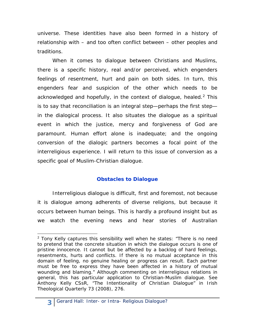universe. These identities have also been formed in a history of relationship with – and too often conflict between – other peoples and traditions.

When it comes to dialogue between Christians and Muslims, there is a specific history, real and/or perceived, which engenders feelings of resentment, hurt and pain on both sides. In turn, this engenders fear and suspicion of the other which needs to be acknowledged and hopefully, in the context of dialogue, healed.<sup>[2](#page-2-0)</sup> This is to say that reconciliation is an integral step—perhaps the first step in the dialogical process. It also situates the dialogue as a spiritual event in which the justice, mercy and forgiveness of God are paramount. Human effort alone is inadequate; and the ongoing conversion of the dialogic partners becomes a focal point of the interreligious experience. I will return to this issue of conversion as a specific goal of Muslim-Christian dialogue.

# **Obstacles to Dialogue**

Interreligious dialogue is difficult, first and foremost, not because it is dialogue among adherents of diverse religions, but because it occurs between human beings. This is hardly a profound insight but as we watch the evening news and hear stories of Australian

<span id="page-2-0"></span> $2$  Tony Kelly captures this sensibility well when he states: "There is no need to pretend that the concrete situation in which the dialogue occurs is one of pristine innocence. It cannot but be affected by a backlog of hard feelings, resentments, hurts and conflicts. If there is no mutual acceptance in this domain of feeling, no genuine healing or progress can result. Each partner must be free to express they have been affected in a history of mutual wounding and blaming." Although commenting on interreligious relations in general, this has particular application to Christian-Muslim dialogue. See Anthony Kelly CSsR, "The Intentionality of Christian Dialogue" in *Irish Theological Quarterly* 73 (2008), 276.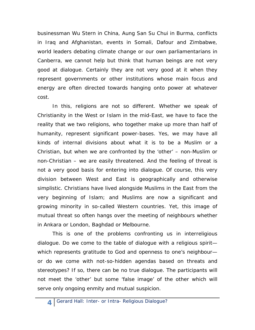businessman Wu Stern in China, Aung San Su Chui in Burma, conflicts in Iraq and Afghanistan, events in Somali, Dafour and Zimbabwe, world leaders debating climate change or our own parliamentarians in Canberra, we cannot help but think that human beings are not very good at dialogue. Certainly they are not very good at it when they represent governments or other institutions whose main focus and energy are often directed towards hanging onto power at whatever cost.

In this, religions are not so different. Whether we speak of Christianity in the West or Islam in the mid-East, we have to face the reality that we two religions, who together make up more than half of humanity, represent significant power-bases. Yes, we may have all kinds of internal divisions about what it is to be a Muslim or a Christian, but when we are confronted by the 'other' – non-Muslim or non-Christian – we are easily threatened. And the feeling of threat is not a very good basis for entering into dialogue. Of course, this very division between West and East is geographically and otherwise simplistic. Christians have lived alongside Muslims in the East from the very beginning of Islam; and Muslims are now a significant and growing minority in so-called Western countries. Yet, this image of mutual threat so often hangs over the meeting of neighbours whether in Ankara or London, Baghdad or Melbourne.

This is one of the problems confronting us in interreligious dialogue. Do we come to the table of dialogue with a religious spirit which represents gratitude to God and openness to one's neighbour or do we come with not-so-hidden agendas based on threats and stereotypes? If so, there can be no true dialogue. The participants will not meet the 'other' but some 'false image' of the other which will serve only ongoing enmity and mutual suspicion.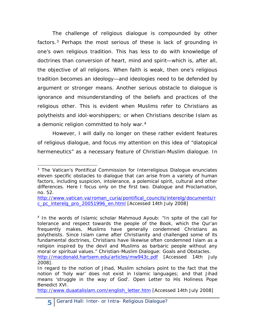The challenge of religious dialogue is compounded by other factors.<sup>[3](#page-4-0)</sup> Perhaps the most serious of these is lack of grounding in one's own religious tradition. This has less to do with knowledge of doctrines than conversion of heart, mind and spirit—which is, after all, the objective of all religions. When faith is weak, then one's religious tradition becomes an ideology—and ideologies need to be defended by argument or stronger means. Another serious obstacle to dialogue is ignorance and misunderstanding of the beliefs and practices of the religious other. This is evident when Muslims refer to Christians as polytheists and idol-worshippers; or when Christians describe Islam as a demonic religion committed to holy war.<sup>[4](#page-4-1)</sup>

However, I will dally no longer on these rather evident features of religious dialogue, and focus my attention on this idea of "diatopical hermeneutics" as a necessary feature of Christian-Muslim dialogue. In

<span id="page-4-0"></span>j <sup>3</sup> The Vatican's Pontifical Commission for Interreligious Dialogue enunciates eleven specific obstacles to dialogue that can arise from a variety of human factors, including suspicion, intolerance, a polemical spirit, cultural and other differences. Here I focus only on the first two. *Dialogue and Proclamation*, no. 52.

[http://www.vatican.va/roman\\_curia/pontifical\\_councils/interelg/documents/r](http://www.vatican.va/roman_curia/pontifical_councils/interelg/documents/rc_pc_interelg_pro_20051996_en.html) [c\\_pc\\_interelg\\_pro\\_20051996\\_en.html](http://www.vatican.va/roman_curia/pontifical_councils/interelg/documents/rc_pc_interelg_pro_20051996_en.html) [Accessed 14th July 2008]

<span id="page-4-1"></span><sup>4</sup> In the words of Islamic scholar Mahmoud Ayoub: "In spite of the call for tolerance and respect towards the people of the Book, which the Qur'an frequently makes, Muslims have generally condemned Christians as polytheists. Since Islam came after Christianity and challenged some of its fundamental doctrines, Christians have likewise often condemned Islam as a religion inspired by the devil and Muslims as barbaric people without any moral or spiritual values." *Christian-Muslim Dialogue: Goals and Obstacles.*  <http://macdonald.hartsem.edu/articles/mw943c.pdf> [Accessed 14th July

<sup>2008].</sup>  In regard to the notion of *Jihad*, Muslim scholars point to the fact that the

notion of 'holy war' does not exist in Islamic languages; and that *Jihad* means 'struggle in the way of God'. *Open Letter to His Holiness Pope Benedict XVI*.

[http://www.duaatalislam.com/english\\_letter.htm](http://www.duaatalislam.com/english_letter.htm) [Accessed 14th July 2008]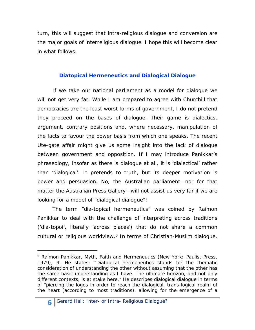turn, this will suggest that *intra*-religious dialogue and conversion are the major goals of interreligious dialogue. I hope this will become clear in what follows.

# **Diatopical Hermeneutics and Dialogical Dialogue**

If we take our national parliament as a model for dialogue we will not get very far. While I am prepared to agree with Churchill that democracies are the least worst forms of government, I do not pretend they proceed on the bases of dialogue. Their game is dialectics, argument, contrary positions and, where necessary, manipulation of the facts to favour the power basis from which one speaks. The recent Ute-gate affair might give us some insight into the lack of dialogue between government and opposition. If I may introduce Panikkar's phraseology, insofar as there is dialogue at all, it is 'dialectical' rather than 'dialogical'. It pretends to truth, but its deeper motivation is power and persuasion. No, the Australian parliament—nor for that matter the Australian Press Gallery—will not assist us very far if we are looking for a model of "dialogical dialogue"!

The term "dia-topical hermeneutics" was coined by Raimon Panikkar to deal with the challenge of interpreting across traditions ('*dia-topoi*', literally 'across places') that do not share a common cultural or religious worldview.<sup>[5](#page-5-0)</sup> In terms of Christian-Muslim dialogue,

1

<span id="page-5-0"></span><sup>5</sup> Raimon Panikkar, *Myth, Faith and Hermeneutics* (New York: Paulist Press, 1979), 9. He states: "*Diatopical hermeneutics* stands for the thematic consideration of understanding the other without assuming that the other has the same basic understanding as I have. The ultimate horizon, and not only different contexts, is at stake here." He describes *dialogical dialogue* in terms of "piercing the logos in order to reach the dialogical, trans-logical realm of the heart (according to most traditions), allowing for the emergence of a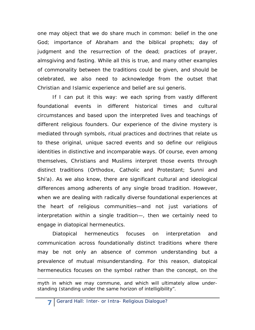one may object that we do share much in common: belief in the one God; importance of Abraham and the biblical prophets; day of judgment and the resurrection of the dead; practices of prayer, almsgiving and fasting. While all this is true, and many other examples of commonality between the traditions could be given, and should be celebrated, we also need to acknowledge from the outset that Christian and Islamic experience and belief are *sui generis*.

If I can put it this way: we each spring from vastly different *foundational events* in different historical times and cultural circumstances and based upon the interpreted lives and teachings of different religious founders. Our experience of the divine mystery is mediated through symbols, ritual practices and doctrines that relate us to these original, unique sacred events and so define our religious identities in distinctive and incomparable ways. Of course, even among themselves, Christians and Muslims interpret those events through distinct traditions (Orthodox, Catholic and Protestant; Sunni and Shi'a). As we also know, there are significant cultural and ideological differences among adherents of any single broad tradition. However, when we are dealing with radically diverse foundational experiences at the heart of religious communities—and not just variations of interpretation within a single tradition—, then we certainly need to engage in diatopical hermeneutics.

Diatopical hermeneutics focuses on interpretation and communication across foundationally distinct traditions where there may be not only an absence of common understanding but a prevalence of mutual misunderstanding. For this reason, diatopical hermeneutics focuses on the symbol rather than the concept, on the

myth in which we may commune, and which will ultimately allow understanding (standing under the same horizon of intelligibility".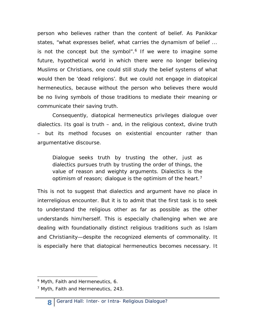person who believes rather than the content of belief. As Panikkar states, "what expresses belief, what carries the dynamism of belief ... is not the concept but the symbol".<sup>[6](#page-7-0)</sup> If we were to imagine some future, hypothetical world in which there were no longer believing Muslims or Christians, one could still study the belief systems of what would then be 'dead religions'. But we could not engage in diatopical hermeneutics, because without the person who believes there would be no living symbols of those traditions to mediate their meaning or communicate their saving truth.

Consequently, diatopical hermeneutics privileges dialogue over dialectics. Its goal is truth – and, in the religious context, divine truth – but its method focuses on existential encounter rather than argumentative discourse.

*Dialogue seeks truth by trusting the other, just as dialectics pursues truth by trusting the order of things, the value of reason and weighty arguments. Dialectics is the optimism of reason; dialogue is the optimism of the heart.[7](#page-7-1)*

This is not to suggest that dialectics and argument have no place in interreligious encounter. But it is to admit that the first task is to seek to understand the religious other as far as possible as the other understands him/herself. This is especially challenging when we are dealing with foundationally distinct religious traditions such as Islam and Christianity—despite the recognized elements of commonality. It is especially here that diatopical hermeneutics becomes necessary. It

<span id="page-7-0"></span>j <sup>6</sup> *Myth, Faith and Hermeneutics*, 6.

<span id="page-7-1"></span><sup>7</sup> *Myth, Faith and Hermeneutics*, 243.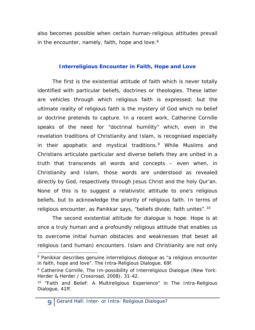also becomes possible when certain human-religious attitudes prevail in the encounter, namely, faith, hope and love. $8$ 

### **Interreligious Encounter in Faith, Hope and Love**

The first is the existential attitude of faith which is never totally identified with particular beliefs, doctrines or theologies. These latter are vehicles through which religious faith is expressed; but the ultimate reality of religious faith is the mystery of God which no belief or doctrine pretends to capture. In a recent work, Catherine Cornille speaks of the need for "doctrinal humility" which, even in the revelation traditions of Christianity and Islam, is recognised especially in their apophatic and mystical traditions.<sup>[9](#page-8-1)</sup> While Muslims and Christians articulate particular and diverse beliefs they are united in a truth that transcends all words and concepts – even when, in Christianity and Islam, those words are understood as revealed directly by God, respectively through Jesus Christ and the holy Qur'an. None of this is to suggest a relativistic attitude to one's religious beliefs, but to acknowledge the priority of religious faith. In terms of religious encounter, as Panikkar says, "beliefs divide; faith unites".[10](#page-8-2)

The second existential attitude for dialogue is hope. Hope is at once a truly human and a profoundly religious attitude that enables us to overcome initial human obstacles and weaknesses that beset all religious (and human) encounters. Islam and Christianity are not only

<span id="page-8-0"></span><sup>&</sup>lt;sup>8</sup> Panikkar describes genuine interreligious dialogue as "a religious encounter in faith, hope and love". *The Intra-Religious Dialogue*, 69f.

<span id="page-8-1"></span><sup>9</sup> Catherine Cornille, *The Im-possibility of Interreligious Dialogue* (New York: Herder & Herder / Crossroad, 2008), 31-42.

<span id="page-8-2"></span><sup>10</sup> "Faith and Belief: A Multireligious Experience" in *The Intra-Religious Dialogue*, 41ff.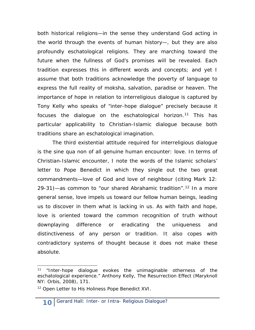both historical religions—in the sense they understand God acting in the world through the events of human history—, but they are also profoundly eschatological religions. They are marching toward the future when the fullness of God's promises will be revealed. Each tradition expresses this in different words and concepts; and yet I assume that both traditions acknowledge the poverty of language to express the full reality of *moksha*, salvation, paradise or heaven. The importance of hope in relation to interreligious dialogue is captured by Tony Kelly who speaks of "inter-hope dialogue" precisely because it focuses the dialogue on the eschatological horizon.<sup>[11](#page-9-0)</sup> This has particular applicability to Christian-Islamic dialogue because both traditions share an eschatological imagination.

The third existential attitude required for interreligious dialogue is the *sine qua non* of all genuine human encounter: love. In terms of Christian-Islamic encounter, I note the words of the Islamic scholars' letter to Pope Benedict in which they single out the two great commandments—love of God and love of neighbour (citing Mark 12: 29-31)—as common to "our shared Abrahamic tradition".<sup>[12](#page-9-1)</sup> In a more general sense, love impels us toward our fellow human beings, leading us to discover in them what is lacking in us. As with faith and hope, love is oriented toward the common recognition of truth without downplaying difference or eradicating the uniqueness and distinctiveness of any person or tradition. It also copes with contradictory systems of thought because it does not make these absolute.

<span id="page-9-0"></span><sup>11</sup> "Inter-hope dialogue evokes the unimaginable *otherness* of the eschatological experience." Anthony Kelly, *The Resurrection Effect* (Maryknoll NY: Orbis, 2008), 171.

<span id="page-9-1"></span><sup>12</sup> *Open Letter to His Holiness Pope Benedict XVI.*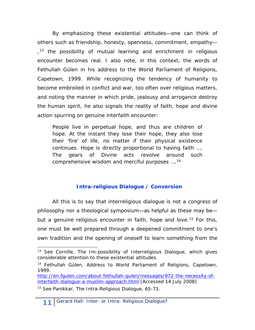By emphasizing these existential attitudes—one can think of others such as friendship, honesty, openness, commitment, empathy—  $13$ , the possibility of mutual learning and enrichment in religious encounter becomes real. I also note, in this context, the words of Fethullah Gülen in his address to the World Parliament of Religions, Capetown, 1999. While recognizing the tendency of humanity to become embroiled in conflict and war, too often over religious matters, and noting the manner in which pride, jealousy and arrogance destroy the human spirit, he also signals the reality of faith, hope and divine action spurring on genuine interfaith encounter:

*People live in perpetual hope, and thus are children of hope. At the instant they lose their hope, they also lose their 'fire' of life, no matter if their physical existence continues. Hope is directly proportional to having faith …. The gears of Divine acts revolve around such comprehensive wisdom and merciful purposes ….[14](#page-10-1)*

# **Intra-religious Dialogue / Conversion**

All this is to say that interreligious dialogue is not a congress of philosophy nor a theological symposium—as helpful as these may be— but a genuine religious encounter in faith, hope and love.<sup>[15](#page-10-2)</sup> For this, one must be well prepared through a deepened commitment to one's own tradition and the opening of oneself to learn something from the

<span id="page-10-0"></span><sup>13</sup> See Cornille, *The Im-possibility of Interreligious Dialogue*, which gives considerable attention to these existential attitudes.

<span id="page-10-1"></span><sup>14</sup> Fethullah Gülen, Address to *World Parliament of Religions*, Capetown, 1999.

[http://en.fgulen.com/about-fethullah-gulen/messages/972-the-necessity-of](http://en.fgulen.com/about-fethullah-gulen/messages/972-the-necessity-of-interfaith-dialogue-a-muslim-approach.html)[interfaith-dialogue-a-muslim-approach.html](http://en.fgulen.com/about-fethullah-gulen/messages/972-the-necessity-of-interfaith-dialogue-a-muslim-approach.html) [Accessed 14 July 2008]

<span id="page-10-2"></span><sup>15</sup> See Panikkar, *The Intra-Religious Dialogue,* 65-71.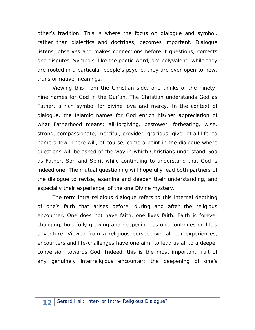other's tradition. This is where the focus on dialogue and symbol, rather than dialectics and doctrines, becomes important. Dialogue listens, observes and makes connections before it questions, corrects and disputes. Symbols, like the poetic word, are polyvalent: while they are rooted in a particular people's psyche, they are ever open to new, transformative meanings.

Viewing this from the Christian side, one thinks of the ninetynine names for God in the Qur'an. The Christian understands God as Father, a rich symbol for divine love and mercy. In the context of dialogue, the Islamic names for God enrich his/her appreciation of what Fatherhood means: all-forgiving, bestower, forbearing, wise, strong, compassionate, merciful, provider, gracious, giver of all life, to name a few. There will, of course, come a point in the dialogue where questions will be asked of the way in which Christians understand God as Father, Son and Spirit while continuing to understand that God is indeed one. The mutual questioning will hopefully lead both partners of the dialogue to revise, examine and deepen their understanding, and especially their experience, of the one Divine mystery.

The term *intra*-religious dialogue refers to this internal depthing of one's faith that arises before, during and after the religious encounter. One does not have faith, one lives faith. Faith is forever changing, hopefully growing and deepening, as one continues on life's adventure. Viewed from a religious perspective, all our experiences, encounters and life-challenges have one aim: to lead us all to a deeper conversion towards God. Indeed, this is the most important fruit of any genuinely interreligious encounter: the deepening of one's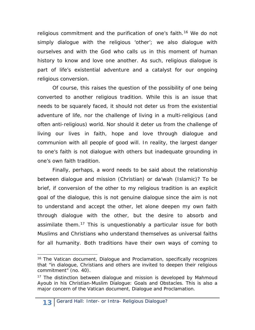religious commitment and the purification of one's faith.<sup>[16](#page-12-0)</sup> We do not simply dialogue with the religious 'other'; we also dialogue with ourselves and with the God who calls us in this moment of human history to know and love one another. As such, religious dialogue is part of life's existential adventure and a catalyst for our ongoing religious conversion.

Of course, this raises the question of the possibility of one being converted to another religious tradition. While this is an issue that needs to be squarely faced, it should not deter us from the existential adventure of life, nor the challenge of living in a multi-religious (and often anti-religious) world. Nor should it deter us from the challenge of living our lives in faith, hope and love through dialogue and communion with all people of good will. In reality, the largest danger to one's faith is not dialogue with others but inadequate grounding in one's own faith tradition.

Finally, perhaps, a word needs to be said about the relationship between dialogue and mission (Christian) or *da'wah* (Islamic)? To be brief, if conversion of the other to my religious tradition is an explicit goal of the dialogue, this is not genuine dialogue since the aim is not to understand and accept the other, let alone deepen my own faith through dialogue with the other, but the desire to absorb and assimilate them.<sup>[17](#page-12-1)</sup> This is unquestionably a particular issue for both Muslims and Christians who understand themselves as universal faiths for all humanity. Both traditions have their own ways of coming to

<span id="page-12-0"></span><sup>16</sup> The Vatican document, *Dialogue and Proclamation,* specifically recognizes that "in dialogue, Christians and others are invited to deepen their religious commitment" (no. 40).

<span id="page-12-1"></span><sup>&</sup>lt;sup>17</sup> The distinction between dialogue and mission is developed by Mahmoud Ayoub in his *Christian-Muslim Dialogue: Goals and Obstacles.* This is also a major concern of the Vatican document, *Dialogue and Proclamation.*